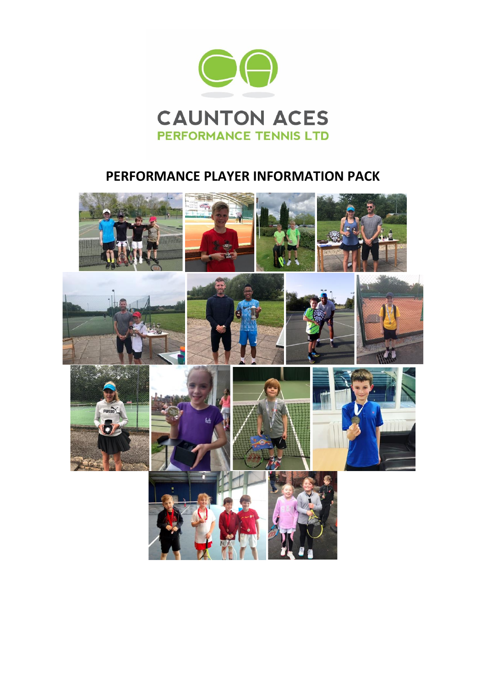

# **PERFORMANCE PLAYER INFORMATION PACK**

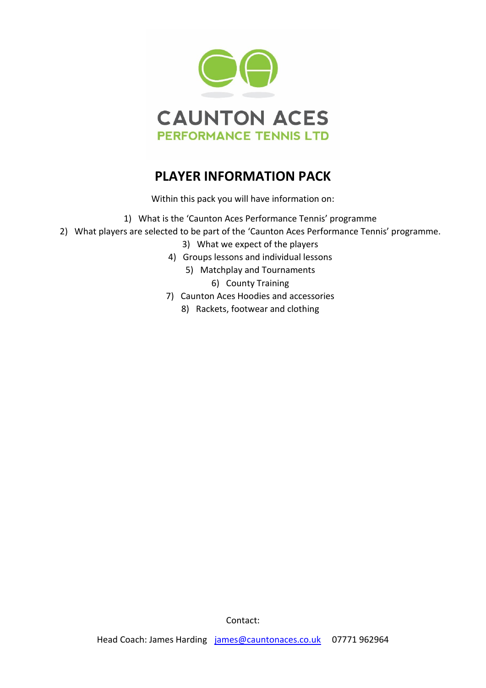

# **PLAYER INFORMATION PACK**

Within this pack you will have information on:

- 1) What is the 'Caunton Aces Performance Tennis' programme
- 2) What players are selected to be part of the 'Caunton Aces Performance Tennis' programme.
	- 3) What we expect of the players
	- 4) Groups lessons and individual lessons
		- 5) Matchplay and Tournaments
			- 6) County Training
	- 7) Caunton Aces Hoodies and accessories
		- 8) Rackets, footwear and clothing

Contact: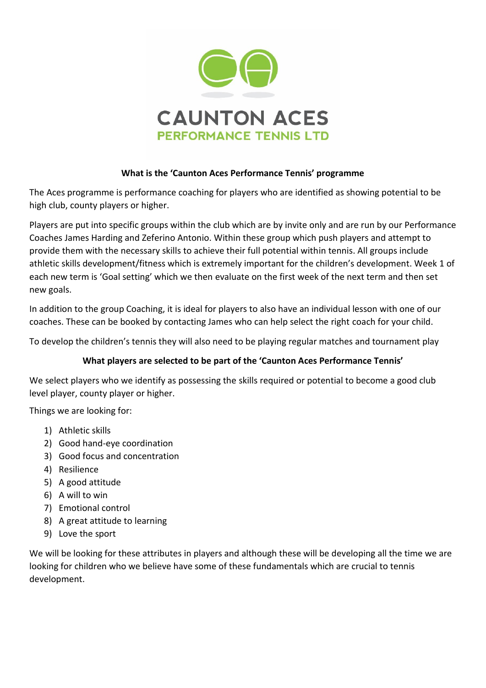

## **What is the 'Caunton Aces Performance Tennis' programme**

The Aces programme is performance coaching for players who are identified as showing potential to be high club, county players or higher.

Players are put into specific groups within the club which are by invite only and are run by our Performance Coaches James Harding and Zeferino Antonio. Within these group which push players and attempt to provide them with the necessary skills to achieve their full potential within tennis. All groups include athletic skills development/fitness which is extremely important for the children's development. Week 1 of each new term is 'Goal setting' which we then evaluate on the first week of the next term and then set new goals.

In addition to the group Coaching, it is ideal for players to also have an individual lesson with one of our coaches. These can be booked by contacting James who can help select the right coach for your child.

To develop the children's tennis they will also need to be playing regular matches and tournament play

# **What players are selected to be part of the 'Caunton Aces Performance Tennis'**

We select players who we identify as possessing the skills required or potential to become a good club level player, county player or higher.

Things we are looking for:

- 1) Athletic skills
- 2) Good hand-eye coordination
- 3) Good focus and concentration
- 4) Resilience
- 5) A good attitude
- 6) A will to win
- 7) Emotional control
- 8) A great attitude to learning
- 9) Love the sport

We will be looking for these attributes in players and although these will be developing all the time we are looking for children who we believe have some of these fundamentals which are crucial to tennis development.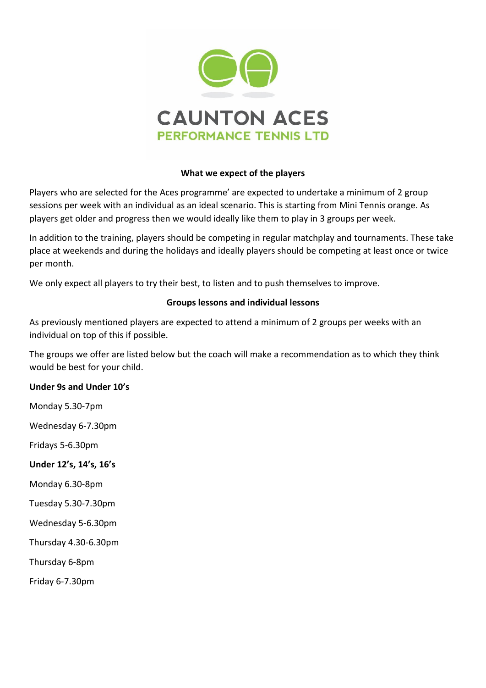

#### **What we expect of the players**

Players who are selected for the Aces programme' are expected to undertake a minimum of 2 group sessions per week with an individual as an ideal scenario. This is starting from Mini Tennis orange. As players get older and progress then we would ideally like them to play in 3 groups per week.

In addition to the training, players should be competing in regular matchplay and tournaments. These take place at weekends and during the holidays and ideally players should be competing at least once or twice per month.

We only expect all players to try their best, to listen and to push themselves to improve.

#### **Groups lessons and individual lessons**

As previously mentioned players are expected to attend a minimum of 2 groups per weeks with an individual on top of this if possible.

The groups we offer are listed below but the coach will make a recommendation as to which they think would be best for your child.

#### **Under 9s and Under 10's**

Monday 5.30-7pm

Wednesday 6-7.30pm

Fridays 5-6.30pm

- **Under 12's, 14's, 16's**
- Monday 6.30-8pm
- Tuesday 5.30-7.30pm
- Wednesday 5-6.30pm

Thursday 4.30-6.30pm

Thursday 6-8pm

Friday 6-7.30pm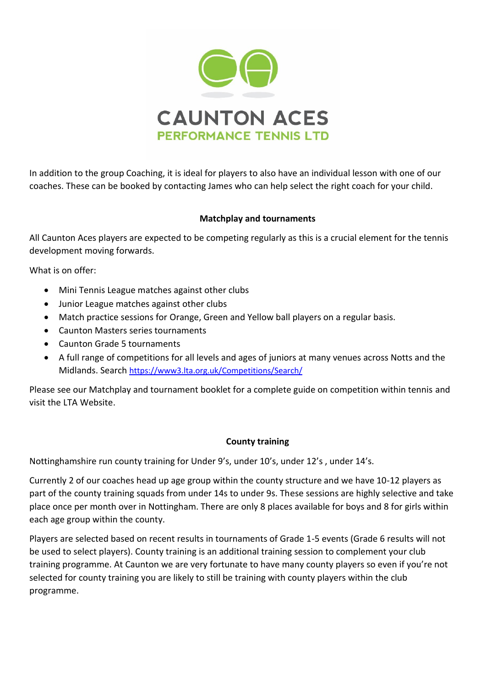

In addition to the group Coaching, it is ideal for players to also have an individual lesson with one of our coaches. These can be booked by contacting James who can help select the right coach for your child.

## **Matchplay and tournaments**

All Caunton Aces players are expected to be competing regularly as this is a crucial element for the tennis development moving forwards.

What is on offer:

- Mini Tennis League matches against other clubs
- Junior League matches against other clubs
- Match practice sessions for Orange, Green and Yellow ball players on a regular basis.
- Caunton Masters series tournaments
- Caunton Grade 5 tournaments
- A full range of competitions for all levels and ages of juniors at many venues across Notts and the Midlands. Search <https://www3.lta.org.uk/Competitions/Search/>

Please see our Matchplay and tournament booklet for a complete guide on competition within tennis and visit the LTA Website.

#### **County training**

Nottinghamshire run county training for Under 9's, under 10's, under 12's , under 14's.

Currently 2 of our coaches head up age group within the county structure and we have 10-12 players as part of the county training squads from under 14s to under 9s. These sessions are highly selective and take place once per month over in Nottingham. There are only 8 places available for boys and 8 for girls within each age group within the county.

Players are selected based on recent results in tournaments of Grade 1-5 events (Grade 6 results will not be used to select players). County training is an additional training session to complement your club training programme. At Caunton we are very fortunate to have many county players so even if you're not selected for county training you are likely to still be training with county players within the club programme.